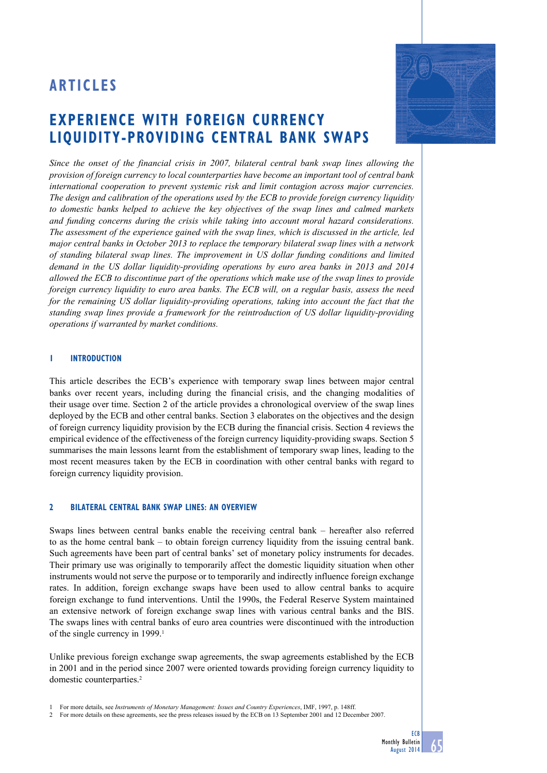# **Articles**

# **experience with Foreign currency liquidity-providing centrAL BANK SWAPS**



*Since the onset of the financial crisis in 2007, bilateral central bank swap lines allowing the provision of foreign currency to local counterparties have become an important tool of central bank international cooperation to prevent systemic risk and limit contagion across major currencies. The design and calibration of the operations used by the ECB to provide foreign currency liquidity to domestic banks helped to achieve the key objectives of the swap lines and calmed markets and funding concerns during the crisis while taking into account moral hazard considerations. The assessment of the experience gained with the swap lines, which is discussed in the article, led major central banks in October 2013 to replace the temporary bilateral swap lines with a network of standing bilateral swap lines. The improvement in US dollar funding conditions and limited demand in the US dollar liquidity-providing operations by euro area banks in 2013 and 2014 allowed the ECB to discontinue part of the operations which make use of the swap lines to provide foreign currency liquidity to euro area banks. The ECB will, on a regular basis, assess the need for the remaining US dollar liquidity-providing operations, taking into account the fact that the standing swap lines provide a framework for the reintroduction of US dollar liquidity-providing operations if warranted by market conditions.* 

## **1 introduction**

This article describes the ECB's experience with temporary swap lines between major central banks over recent years, including during the financial crisis, and the changing modalities of their usage over time. Section 2 of the article provides a chronological overview of the swap lines deployed by the ECB and other central banks. Section 3 elaborates on the objectives and the design of foreign currency liquidity provision by the ECB during the financial crisis. Section 4 reviews the empirical evidence of the effectiveness of the foreign currency liquidity-providing swaps. Section 5 summarises the main lessons learnt from the establishment of temporary swap lines, leading to the most recent measures taken by the ECB in coordination with other central banks with regard to foreign currency liquidity provision.

## **2 bilateral central bank swap lines: an overview**

Swaps lines between central banks enable the receiving central bank – hereafter also referred to as the home central bank – to obtain foreign currency liquidity from the issuing central bank. Such agreements have been part of central banks' set of monetary policy instruments for decades. Their primary use was originally to temporarily affect the domestic liquidity situation when other instruments would not serve the purpose or to temporarily and indirectly influence foreign exchange rates. In addition, foreign exchange swaps have been used to allow central banks to acquire foreign exchange to fund interventions. Until the 1990s, the Federal Reserve System maintained an extensive network of foreign exchange swap lines with various central banks and the BIS. The swaps lines with central banks of euro area countries were discontinued with the introduction of the single currency in 1999.<sup>1</sup>

Unlike previous foreign exchange swap agreements, the swap agreements established by the ECB in 2001 and in the period since 2007 were oriented towards providing foreign currency liquidity to domestic counterparties.<sup>2</sup>

<sup>1</sup> For more details, see *Instruments of Monetary Management: Issues and Country Experiences*, IMF, 1997, p. 148ff.

<sup>2</sup> For more details on these agreements, see the press releases issued by the ECB on 13 September 2001 and 12 December 2007.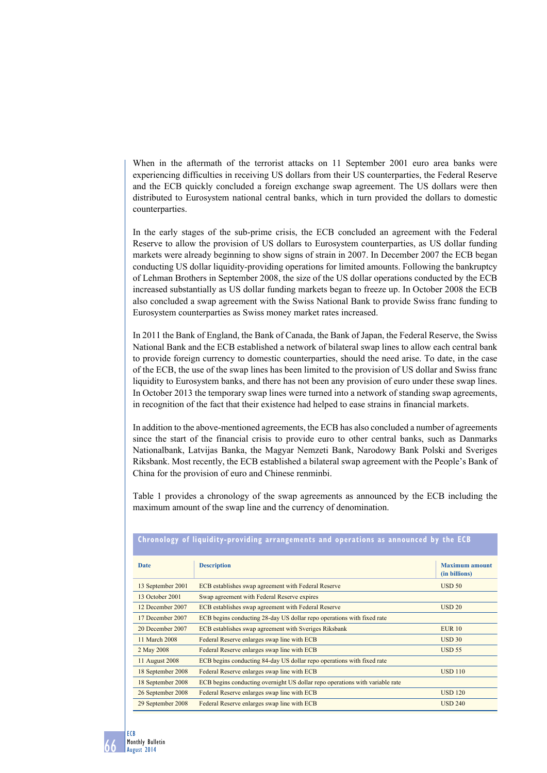When in the aftermath of the terrorist attacks on 11 September 2001 euro area banks were experiencing difficulties in receiving US dollars from their US counterparties, the Federal Reserve and the ECB quickly concluded a foreign exchange swap agreement. The US dollars were then distributed to Eurosystem national central banks, which in turn provided the dollars to domestic counterparties.

In the early stages of the sub-prime crisis, the ECB concluded an agreement with the Federal Reserve to allow the provision of US dollars to Eurosystem counterparties, as US dollar funding markets were already beginning to show signs of strain in 2007. In December 2007 the ECB began conducting US dollar liquidity-providing operations for limited amounts. Following the bankruptcy of Lehman Brothers in September 2008, the size of the US dollar operations conducted by the ECB increased substantially as US dollar funding markets began to freeze up. In October 2008 the ECB also concluded a swap agreement with the Swiss National Bank to provide Swiss franc funding to Eurosystem counterparties as Swiss money market rates increased.

In 2011 the Bank of England, the Bank of Canada, the Bank of Japan, the Federal Reserve, the Swiss National Bank and the ECB established a network of bilateral swap lines to allow each central bank to provide foreign currency to domestic counterparties, should the need arise. To date, in the case of the ECB, the use of the swap lines has been limited to the provision of US dollar and Swiss franc liquidity to Eurosystem banks, and there has not been any provision of euro under these swap lines. In October 2013 the temporary swap lines were turned into a network of standing swap agreements, in recognition of the fact that their existence had helped to ease strains in financial markets.

In addition to the above-mentioned agreements, the ECB has also concluded a number of agreements since the start of the financial crisis to provide euro to other central banks, such as Danmarks Nationalbank, Latvijas Banka, the Magyar Nemzeti Bank, Narodowy Bank Polski and Sveriges Riksbank. Most recently, the ECB established a bilateral swap agreement with the People's Bank of China for the provision of euro and Chinese renminbi.

Table 1 provides a chronology of the swap agreements as announced by the ECB including the

|                   | спгоногоду от пучкитеу-рготкинид аггандсиксиез ани орсгастонз аз аннойнеси ву спс дев |                                        |
|-------------------|---------------------------------------------------------------------------------------|----------------------------------------|
| <b>Date</b>       | <b>Description</b>                                                                    | <b>Maximum amount</b><br>(in billions) |
| 13 September 2001 | ECB establishes swap agreement with Federal Reserve                                   | USD 50                                 |
| 13 October 2001   | Swap agreement with Federal Reserve expires                                           |                                        |
| 12 December 2007  | ECB establishes swap agreement with Federal Reserve                                   | <b>USD 20</b>                          |
| 17 December 2007  | ECB begins conducting 28-day US dollar repo operations with fixed rate                |                                        |
| 20 December 2007  | ECB establishes swap agreement with Sveriges Riksbank                                 | <b>EUR 10</b>                          |
| 11 March 2008     | Federal Reserve enlarges swap line with ECB                                           | USD30                                  |
| 2 May 2008        | Federal Reserve enlarges swap line with ECB                                           | <b>USD 55</b>                          |
| 11 August 2008    | ECB begins conducting 84-day US dollar repo operations with fixed rate                |                                        |
| 18 September 2008 | Federal Reserve enlarges swap line with ECB                                           | <b>USD 110</b>                         |
| 18 September 2008 | ECB begins conducting overnight US dollar repo operations with variable rate          |                                        |
| 26 September 2008 | Federal Reserve enlarges swap line with ECB                                           | <b>USD 120</b>                         |
| 29 September 2008 | Federal Reserve enlarges swap line with ECB                                           | <b>USD 240</b>                         |

maximum amount of the swap line and the currency of denomination.

**chronology of liquidity-providing arrangements are not arrangements arrangements and operations as an** 

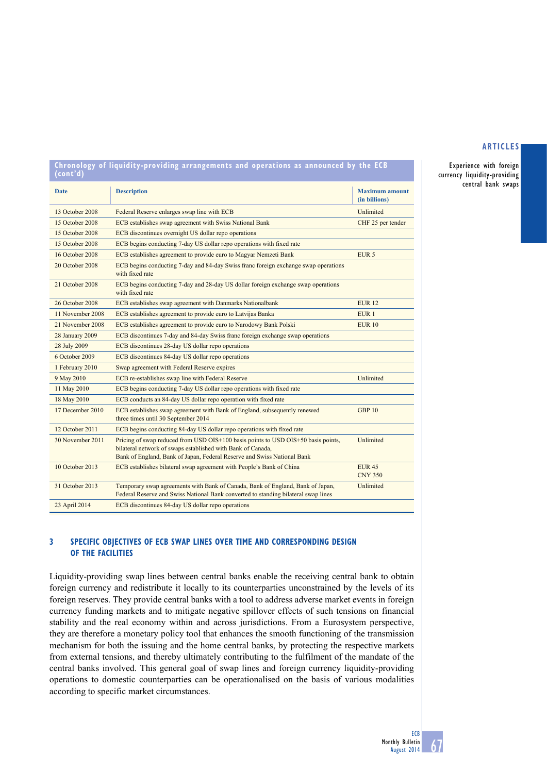Experience with foreign currency liquidity-providing central bank swaps

| Chronology of liquidity-providing arrangements and operations as announced by the ECB<br>(cont'd) |                                                                                                                                                                                                                             |                                        |  |  |  |  |  |
|---------------------------------------------------------------------------------------------------|-----------------------------------------------------------------------------------------------------------------------------------------------------------------------------------------------------------------------------|----------------------------------------|--|--|--|--|--|
| <b>Date</b>                                                                                       | <b>Description</b>                                                                                                                                                                                                          | <b>Maximum amount</b><br>(in billions) |  |  |  |  |  |
| 13 October 2008                                                                                   | Federal Reserve enlarges swap line with ECB                                                                                                                                                                                 | Unlimited                              |  |  |  |  |  |
| 15 October 2008                                                                                   | ECB establishes swap agreement with Swiss National Bank                                                                                                                                                                     | CHF 25 per tender                      |  |  |  |  |  |
| 15 October 2008                                                                                   | ECB discontinues overnight US dollar repo operations                                                                                                                                                                        |                                        |  |  |  |  |  |
| 15 October 2008                                                                                   | ECB begins conducting 7-day US dollar repo operations with fixed rate                                                                                                                                                       |                                        |  |  |  |  |  |
| 16 October 2008                                                                                   | ECB establishes agreement to provide euro to Magyar Nemzeti Bank                                                                                                                                                            | EUR <sub>5</sub>                       |  |  |  |  |  |
| 20 October 2008                                                                                   | ECB begins conducting 7-day and 84-day Swiss franc foreign exchange swap operations<br>with fixed rate                                                                                                                      |                                        |  |  |  |  |  |
| 21 October 2008                                                                                   | ECB begins conducting 7-day and 28-day US dollar foreign exchange swap operations<br>with fixed rate                                                                                                                        |                                        |  |  |  |  |  |
| 26 October 2008                                                                                   | ECB establishes swap agreement with Danmarks Nationalbank                                                                                                                                                                   | <b>EUR 12</b>                          |  |  |  |  |  |
| 11 November 2008                                                                                  | ECB establishes agreement to provide euro to Latvijas Banka                                                                                                                                                                 | EUR <sub>1</sub>                       |  |  |  |  |  |
| 21 November 2008                                                                                  | ECB establishes agreement to provide euro to Narodowy Bank Polski                                                                                                                                                           | <b>EUR 10</b>                          |  |  |  |  |  |
| 28 January 2009                                                                                   | ECB discontinues 7-day and 84-day Swiss franc foreign exchange swap operations                                                                                                                                              |                                        |  |  |  |  |  |
| 28 July 2009                                                                                      | ECB discontinues 28-day US dollar repo operations                                                                                                                                                                           |                                        |  |  |  |  |  |
| 6 October 2009                                                                                    | ECB discontinues 84-day US dollar repo operations                                                                                                                                                                           |                                        |  |  |  |  |  |
| 1 February 2010                                                                                   | Swap agreement with Federal Reserve expires                                                                                                                                                                                 |                                        |  |  |  |  |  |
| 9 May 2010                                                                                        | ECB re-establishes swap line with Federal Reserve                                                                                                                                                                           | Unlimited                              |  |  |  |  |  |
| 11 May 2010                                                                                       | ECB begins conducting 7-day US dollar repo operations with fixed rate                                                                                                                                                       |                                        |  |  |  |  |  |
| 18 May 2010                                                                                       | ECB conducts an 84-day US dollar repo operation with fixed rate                                                                                                                                                             |                                        |  |  |  |  |  |
| 17 December 2010                                                                                  | ECB establishes swap agreement with Bank of England, subsequently renewed<br>three times until 30 September 2014                                                                                                            | <b>GBP 10</b>                          |  |  |  |  |  |
| 12 October 2011                                                                                   | ECB begins conducting 84-day US dollar repo operations with fixed rate                                                                                                                                                      |                                        |  |  |  |  |  |
| 30 November 2011                                                                                  | Pricing of swap reduced from USD OIS+100 basis points to USD OIS+50 basis points,<br>bilateral network of swaps established with Bank of Canada,<br>Bank of England, Bank of Japan, Federal Reserve and Swiss National Bank | Unlimited                              |  |  |  |  |  |
| 10 October 2013                                                                                   | ECB establishes bilateral swap agreement with People's Bank of China                                                                                                                                                        | <b>EUR 45</b><br><b>CNY 350</b>        |  |  |  |  |  |
| 31 October 2013                                                                                   | Temporary swap agreements with Bank of Canada, Bank of England, Bank of Japan,<br>Federal Reserve and Swiss National Bank converted to standing bilateral swap lines                                                        | Unlimited                              |  |  |  |  |  |
| 23 April 2014                                                                                     | ECB discontinues 84-day US dollar repo operations                                                                                                                                                                           |                                        |  |  |  |  |  |

# **3 specific objectives of ecb swap lines over time and corresponding design of the facilities**

Liquidity-providing swap lines between central banks enable the receiving central bank to obtain foreign currency and redistribute it locally to its counterparties unconstrained by the levels of its foreign reserves. They provide central banks with a tool to address adverse market events in foreign currency funding markets and to mitigate negative spillover effects of such tensions on financial stability and the real economy within and across jurisdictions. From a Eurosystem perspective, they are therefore a monetary policy tool that enhances the smooth functioning of the transmission mechanism for both the issuing and the home central banks, by protecting the respective markets from external tensions, and thereby ultimately contributing to the fulfilment of the mandate of the central banks involved. This general goal of swap lines and foreign currency liquidity-providing operations to domestic counterparties can be operationalised on the basis of various modalities according to specific market circumstances.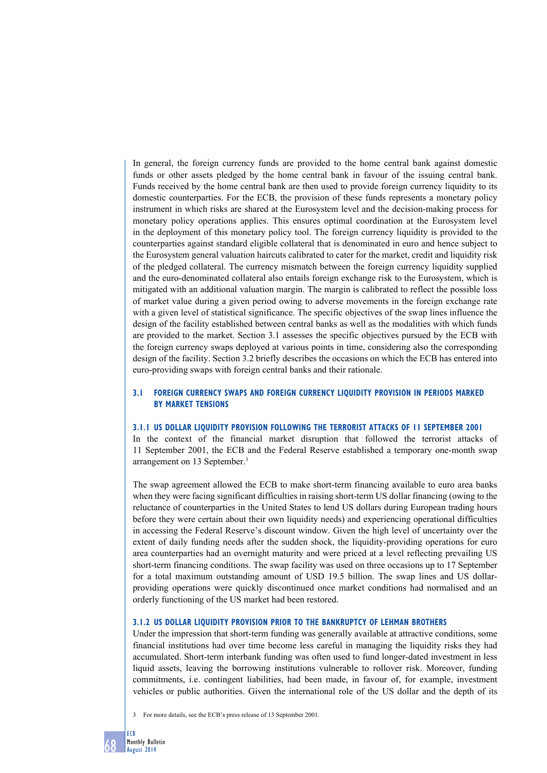In general, the foreign currency funds are provided to the home central bank against domestic funds or other assets pledged by the home central bank in favour of the issuing central bank. Funds received by the home central bank are then used to provide foreign currency liquidity to its domestic counterparties. For the ECB, the provision of these funds represents a monetary policy instrument in which risks are shared at the Eurosystem level and the decision-making process for monetary policy operations applies. This ensures optimal coordination at the Eurosystem level in the deployment of this monetary policy tool. The foreign currency liquidity is provided to the counterparties against standard eligible collateral that is denominated in euro and hence subject to the Eurosystem general valuation haircuts calibrated to cater for the market, credit and liquidity risk of the pledged collateral. The currency mismatch between the foreign currency liquidity supplied and the euro-denominated collateral also entails foreign exchange risk to the Eurosystem, which is mitigated with an additional valuation margin. The margin is calibrated to reflect the possible loss of market value during a given period owing to adverse movements in the foreign exchange rate with a given level of statistical significance. The specific objectives of the swap lines influence the design of the facility established between central banks as well as the modalities with which funds are provided to the market. Section 3.1 assesses the specific objectives pursued by the ECB with the foreign currency swaps deployed at various points in time, considering also the corresponding design of the facility. Section 3.2 briefly describes the occasions on which the ECB has entered into euro-providing swaps with foreign central banks and their rationale.

# **3.1 foreign currency swaps and foreign currency liquidity provision in periods marked by market tensions**

#### **3.1.1 US dollar liquidity provision following the terrorist attacks of 11 September 2001**

In the context of the financial market disruption that followed the terrorist attacks of 11 September 2001, the ECB and the Federal Reserve established a temporary one-month swap arrangement on 13 September.3

The swap agreement allowed the ECB to make short-term financing available to euro area banks when they were facing significant difficulties in raising short-term US dollar financing (owing to the reluctance of counterparties in the United States to lend US dollars during European trading hours before they were certain about their own liquidity needs) and experiencing operational difficulties in accessing the Federal Reserve's discount window. Given the high level of uncertainty over the extent of daily funding needs after the sudden shock, the liquidity-providing operations for euro area counterparties had an overnight maturity and were priced at a level reflecting prevailing US short-term financing conditions. The swap facility was used on three occasions up to 17 September for a total maximum outstanding amount of USD 19.5 billion. The swap lines and US dollarproviding operations were quickly discontinued once market conditions had normalised and an orderly functioning of the US market had been restored.

## **3.1.2 US Dollar liquidity provision prior to the bankruptcy of lehman brothers**

Under the impression that short-term funding was generally available at attractive conditions, some financial institutions had over time become less careful in managing the liquidity risks they had accumulated. Short-term interbank funding was often used to fund longer-dated investment in less liquid assets, leaving the borrowing institutions vulnerable to rollover risk. Moreover, funding commitments, i.e. contingent liabilities, had been made, in favour of, for example, investment vehicles or public authorities. Given the international role of the US dollar and the depth of its



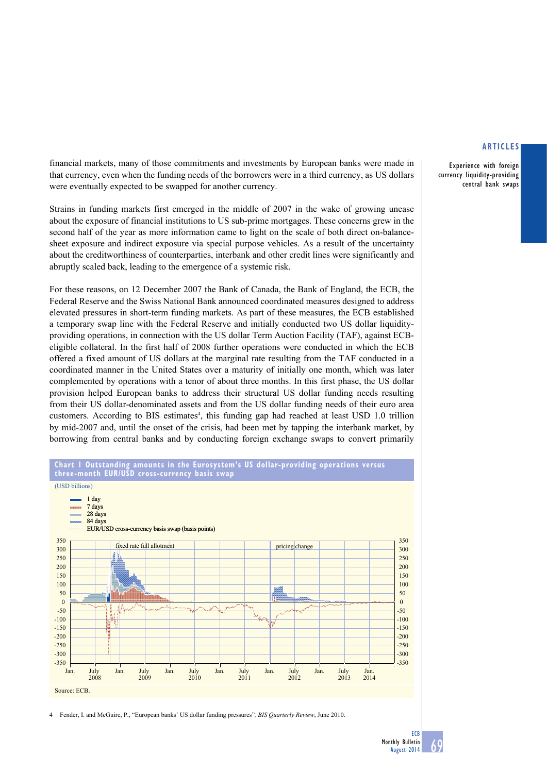Experience with foreign currency liquidity-providing central bank swaps

financial markets, many of those commitments and investments by European banks were made in that currency, even when the funding needs of the borrowers were in a third currency, as US dollars were eventually expected to be swapped for another currency.

Strains in funding markets first emerged in the middle of 2007 in the wake of growing unease about the exposure of financial institutions to US sub-prime mortgages. These concerns grew in the second half of the year as more information came to light on the scale of both direct on-balancesheet exposure and indirect exposure via special purpose vehicles. As a result of the uncertainty about the creditworthiness of counterparties, interbank and other credit lines were significantly and abruptly scaled back, leading to the emergence of a systemic risk.

For these reasons, on 12 December 2007 the Bank of Canada, the Bank of England, the ECB, the Federal Reserve and the Swiss National Bank announced coordinated measures designed to address elevated pressures in short-term funding markets. As part of these measures, the ECB established a temporary swap line with the Federal Reserve and initially conducted two US dollar liquidityproviding operations, in connection with the US dollar Term Auction Facility (TAF), against ECBeligible collateral. In the first half of 2008 further operations were conducted in which the ECB offered a fixed amount of US dollars at the marginal rate resulting from the TAF conducted in a coordinated manner in the United States over a maturity of initially one month, which was later complemented by operations with a tenor of about three months. In this first phase, the US dollar provision helped European banks to address their structural US dollar funding needs resulting from their US dollar-denominated assets and from the US dollar funding needs of their euro area customers. According to BIS estimates<sup>4</sup>, this funding gap had reached at least USD 1.0 trillion by mid-2007 and, until the onset of the crisis, had been met by tapping the interbank market, by borrowing from central banks and by conducting foreign exchange swaps to convert primarily





4 Fender, I. and McGuire, P., "European banks' US dollar funding pressures"*, BIS Quarterly Review*, June 2010.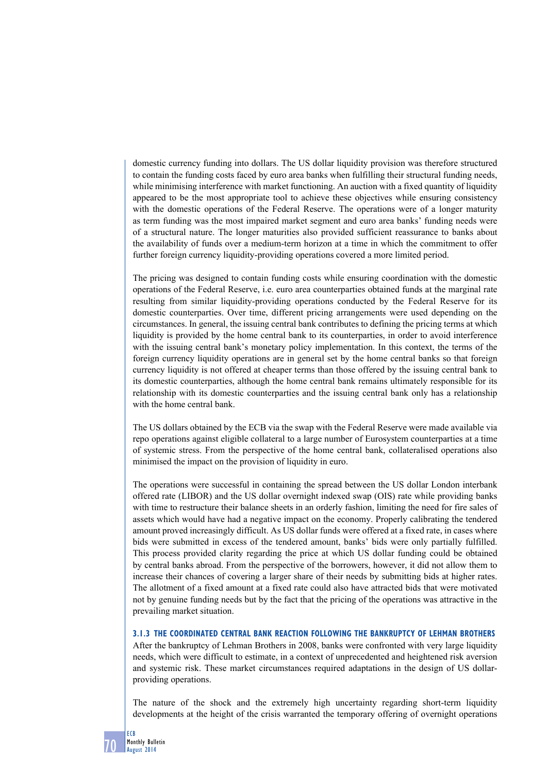domestic currency funding into dollars. The US dollar liquidity provision was therefore structured to contain the funding costs faced by euro area banks when fulfilling their structural funding needs, while minimising interference with market functioning. An auction with a fixed quantity of liquidity appeared to be the most appropriate tool to achieve these objectives while ensuring consistency with the domestic operations of the Federal Reserve. The operations were of a longer maturity as term funding was the most impaired market segment and euro area banks' funding needs were of a structural nature. The longer maturities also provided sufficient reassurance to banks about the availability of funds over a medium-term horizon at a time in which the commitment to offer further foreign currency liquidity-providing operations covered a more limited period.

The pricing was designed to contain funding costs while ensuring coordination with the domestic operations of the Federal Reserve, i.e. euro area counterparties obtained funds at the marginal rate resulting from similar liquidity-providing operations conducted by the Federal Reserve for its domestic counterparties. Over time, different pricing arrangements were used depending on the circumstances. In general, the issuing central bank contributes to defining the pricing terms at which liquidity is provided by the home central bank to its counterparties, in order to avoid interference with the issuing central bank's monetary policy implementation. In this context, the terms of the foreign currency liquidity operations are in general set by the home central banks so that foreign currency liquidity is not offered at cheaper terms than those offered by the issuing central bank to its domestic counterparties, although the home central bank remains ultimately responsible for its relationship with its domestic counterparties and the issuing central bank only has a relationship with the home central bank.

The US dollars obtained by the ECB via the swap with the Federal Reserve were made available via repo operations against eligible collateral to a large number of Eurosystem counterparties at a time of systemic stress. From the perspective of the home central bank, collateralised operations also minimised the impact on the provision of liquidity in euro.

The operations were successful in containing the spread between the US dollar London interbank offered rate (LIBOR) and the US dollar overnight indexed swap (OIS) rate while providing banks with time to restructure their balance sheets in an orderly fashion, limiting the need for fire sales of assets which would have had a negative impact on the economy. Properly calibrating the tendered amount proved increasingly difficult. As US dollar funds were offered at a fixed rate, in cases where bids were submitted in excess of the tendered amount, banks' bids were only partially fulfilled. This process provided clarity regarding the price at which US dollar funding could be obtained by central banks abroad. From the perspective of the borrowers, however, it did not allow them to increase their chances of covering a larger share of their needs by submitting bids at higher rates. The allotment of a fixed amount at a fixed rate could also have attracted bids that were motivated not by genuine funding needs but by the fact that the pricing of the operations was attractive in the prevailing market situation.

#### **3.1.3 the coordinated central bank reaction following the bankruptcy of lehman brothers**

After the bankruptcy of Lehman Brothers in 2008, banks were confronted with very large liquidity needs, which were difficult to estimate, in a context of unprecedented and heightened risk aversion and systemic risk. These market circumstances required adaptations in the design of US dollarproviding operations.

The nature of the shock and the extremely high uncertainty regarding short-term liquidity developments at the height of the crisis warranted the temporary offering of overnight operations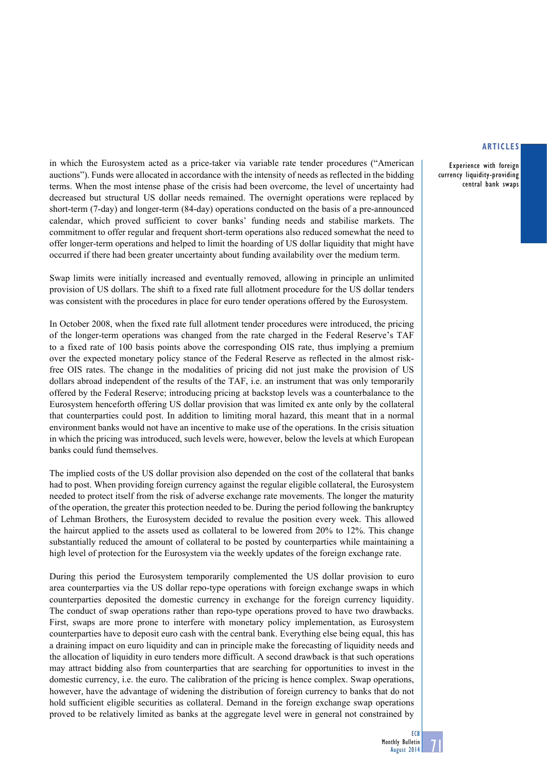Experience with foreign currency liquidity-providing central bank swaps

in which the Eurosystem acted as a price-taker via variable rate tender procedures ("American auctions"). Funds were allocated in accordance with the intensity of needs as reflected in the bidding terms. When the most intense phase of the crisis had been overcome, the level of uncertainty had decreased but structural US dollar needs remained. The overnight operations were replaced by short-term (7-day) and longer-term (84-day) operations conducted on the basis of a pre-announced calendar, which proved sufficient to cover banks' funding needs and stabilise markets. The commitment to offer regular and frequent short-term operations also reduced somewhat the need to offer longer-term operations and helped to limit the hoarding of US dollar liquidity that might have occurred if there had been greater uncertainty about funding availability over the medium term.

Swap limits were initially increased and eventually removed, allowing in principle an unlimited provision of US dollars. The shift to a fixed rate full allotment procedure for the US dollar tenders was consistent with the procedures in place for euro tender operations offered by the Eurosystem.

In October 2008, when the fixed rate full allotment tender procedures were introduced, the pricing of the longer-term operations was changed from the rate charged in the Federal Reserve's TAF to a fixed rate of 100 basis points above the corresponding OIS rate, thus implying a premium over the expected monetary policy stance of the Federal Reserve as reflected in the almost riskfree OIS rates. The change in the modalities of pricing did not just make the provision of US dollars abroad independent of the results of the TAF, i.e. an instrument that was only temporarily offered by the Federal Reserve; introducing pricing at backstop levels was a counterbalance to the Eurosystem henceforth offering US dollar provision that was limited ex ante only by the collateral that counterparties could post. In addition to limiting moral hazard, this meant that in a normal environment banks would not have an incentive to make use of the operations. In the crisis situation in which the pricing was introduced, such levels were, however, below the levels at which European banks could fund themselves.

The implied costs of the US dollar provision also depended on the cost of the collateral that banks had to post. When providing foreign currency against the regular eligible collateral, the Eurosystem needed to protect itself from the risk of adverse exchange rate movements. The longer the maturity of the operation, the greater this protection needed to be. During the period following the bankruptcy of Lehman Brothers, the Eurosystem decided to revalue the position every week. This allowed the haircut applied to the assets used as collateral to be lowered from 20% to 12%. This change substantially reduced the amount of collateral to be posted by counterparties while maintaining a high level of protection for the Eurosystem via the weekly updates of the foreign exchange rate.

During this period the Eurosystem temporarily complemented the US dollar provision to euro area counterparties via the US dollar repo-type operations with foreign exchange swaps in which counterparties deposited the domestic currency in exchange for the foreign currency liquidity. The conduct of swap operations rather than repo-type operations proved to have two drawbacks. First, swaps are more prone to interfere with monetary policy implementation, as Eurosystem counterparties have to deposit euro cash with the central bank. Everything else being equal, this has a draining impact on euro liquidity and can in principle make the forecasting of liquidity needs and the allocation of liquidity in euro tenders more difficult. A second drawback is that such operations may attract bidding also from counterparties that are searching for opportunities to invest in the domestic currency, i.e. the euro. The calibration of the pricing is hence complex. Swap operations, however, have the advantage of widening the distribution of foreign currency to banks that do not hold sufficient eligible securities as collateral. Demand in the foreign exchange swap operations proved to be relatively limited as banks at the aggregate level were in general not constrained by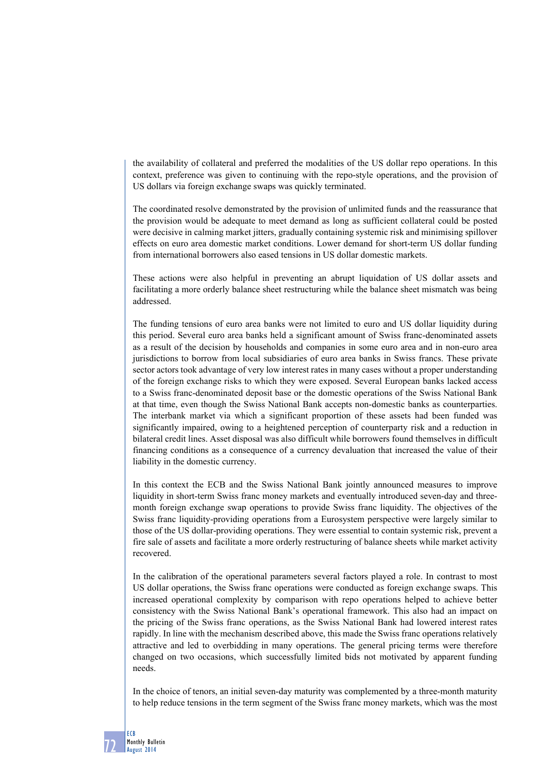the availability of collateral and preferred the modalities of the US dollar repo operations. In this context, preference was given to continuing with the repo-style operations, and the provision of US dollars via foreign exchange swaps was quickly terminated.

The coordinated resolve demonstrated by the provision of unlimited funds and the reassurance that the provision would be adequate to meet demand as long as sufficient collateral could be posted were decisive in calming market jitters, gradually containing systemic risk and minimising spillover effects on euro area domestic market conditions. Lower demand for short-term US dollar funding from international borrowers also eased tensions in US dollar domestic markets.

These actions were also helpful in preventing an abrupt liquidation of US dollar assets and facilitating a more orderly balance sheet restructuring while the balance sheet mismatch was being addressed.

The funding tensions of euro area banks were not limited to euro and US dollar liquidity during this period. Several euro area banks held a significant amount of Swiss franc-denominated assets as a result of the decision by households and companies in some euro area and in non-euro area jurisdictions to borrow from local subsidiaries of euro area banks in Swiss francs. These private sector actors took advantage of very low interest rates in many cases without a proper understanding of the foreign exchange risks to which they were exposed. Several European banks lacked access to a Swiss franc-denominated deposit base or the domestic operations of the Swiss National Bank at that time, even though the Swiss National Bank accepts non-domestic banks as counterparties. The interbank market via which a significant proportion of these assets had been funded was significantly impaired, owing to a heightened perception of counterparty risk and a reduction in bilateral credit lines. Asset disposal was also difficult while borrowers found themselves in difficult financing conditions as a consequence of a currency devaluation that increased the value of their liability in the domestic currency.

In this context the ECB and the Swiss National Bank jointly announced measures to improve liquidity in short-term Swiss franc money markets and eventually introduced seven-day and threemonth foreign exchange swap operations to provide Swiss franc liquidity. The objectives of the Swiss franc liquidity-providing operations from a Eurosystem perspective were largely similar to those of the US dollar-providing operations. They were essential to contain systemic risk, prevent a fire sale of assets and facilitate a more orderly restructuring of balance sheets while market activity recovered.

In the calibration of the operational parameters several factors played a role. In contrast to most US dollar operations, the Swiss franc operations were conducted as foreign exchange swaps. This increased operational complexity by comparison with repo operations helped to achieve better consistency with the Swiss National Bank's operational framework. This also had an impact on the pricing of the Swiss franc operations, as the Swiss National Bank had lowered interest rates rapidly. In line with the mechanism described above, this made the Swiss franc operations relatively attractive and led to overbidding in many operations. The general pricing terms were therefore changed on two occasions, which successfully limited bids not motivated by apparent funding needs.

In the choice of tenors, an initial seven-day maturity was complemented by a three-month maturity to help reduce tensions in the term segment of the Swiss franc money markets, which was the most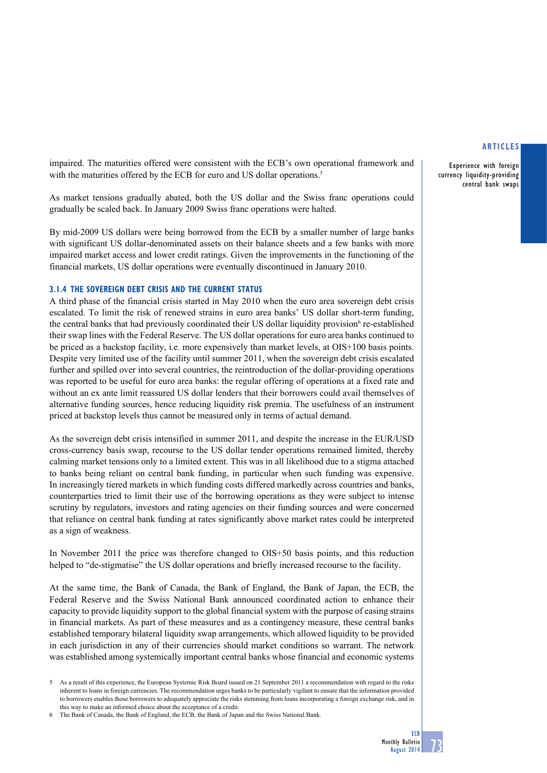Experience with foreign currency liquidity-providing central bank swaps

impaired. The maturities offered were consistent with the ECB's own operational framework and with the maturities offered by the ECB for euro and US dollar operations.<sup>5</sup>

As market tensions gradually abated, both the US dollar and the Swiss franc operations could gradually be scaled back. In January 2009 Swiss franc operations were halted.

By mid-2009 US dollars were being borrowed from the ECB by a smaller number of large banks with significant US dollar-denominated assets on their balance sheets and a few banks with more impaired market access and lower credit ratings. Given the improvements in the functioning of the financial markets, US dollar operations were eventually discontinued in January 2010.

## **3.1.4 the sovereign debt crisis and the current status**

A third phase of the financial crisis started in May 2010 when the euro area sovereign debt crisis escalated. To limit the risk of renewed strains in euro area banks' US dollar short-term funding, the central banks that had previously coordinated their US dollar liquidity provision<sup>6</sup> re-established their swap lines with the Federal Reserve. The US dollar operations for euro area banks continued to be priced as a backstop facility, i.e. more expensively than market levels, at OIS+100 basis points. Despite very limited use of the facility until summer 2011, when the sovereign debt crisis escalated further and spilled over into several countries, the reintroduction of the dollar-providing operations was reported to be useful for euro area banks: the regular offering of operations at a fixed rate and without an ex ante limit reassured US dollar lenders that their borrowers could avail themselves of alternative funding sources, hence reducing liquidity risk premia. The usefulness of an instrument priced at backstop levels thus cannot be measured only in terms of actual demand.

As the sovereign debt crisis intensified in summer 2011, and despite the increase in the EUR/USD cross-currency basis swap, recourse to the US dollar tender operations remained limited, thereby calming market tensions only to a limited extent. This was in all likelihood due to a stigma attached to banks being reliant on central bank funding, in particular when such funding was expensive. In increasingly tiered markets in which funding costs differed markedly across countries and banks, counterparties tried to limit their use of the borrowing operations as they were subject to intense scrutiny by regulators, investors and rating agencies on their funding sources and were concerned that reliance on central bank funding at rates significantly above market rates could be interpreted as a sign of weakness.

In November 2011 the price was therefore changed to OIS+50 basis points, and this reduction helped to "de-stigmatise" the US dollar operations and briefly increased recourse to the facility.

At the same time, the Bank of Canada, the Bank of England, the Bank of Japan, the ECB, the Federal Reserve and the Swiss National Bank announced coordinated action to enhance their capacity to provide liquidity support to the global financial system with the purpose of easing strains in financial markets. As part of these measures and as a contingency measure, these central banks established temporary bilateral liquidity swap arrangements, which allowed liquidity to be provided in each jurisdiction in any of their currencies should market conditions so warrant. The network was established among systemically important central banks whose financial and economic systems

<sup>5</sup> As a result of this experience, the European Systemic Risk Board issued on 21 September 2011 a recommendation with regard to the risks inherent to loans in foreign currencies. The recommendation urges banks to be particularly vigilant to ensure that the information provided to borrowers enables those borrowers to adequately appreciate the risks stemming from loans incorporating a foreign exchange risk, and in this way to make an informed choice about the acceptance of a credit.

<sup>6</sup> The Bank of Canada, the Bank of England, the ECB, the Bank of Japan and the Swiss National Bank.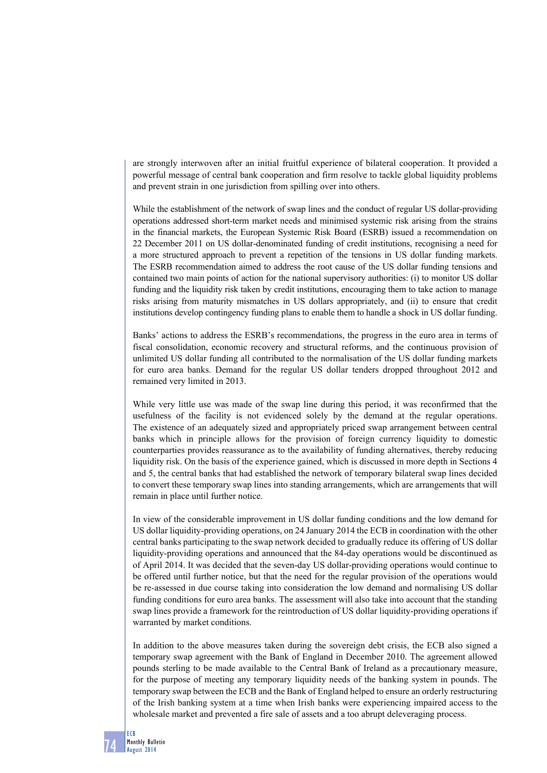are strongly interwoven after an initial fruitful experience of bilateral cooperation. It provided a powerful message of central bank cooperation and firm resolve to tackle global liquidity problems and prevent strain in one jurisdiction from spilling over into others.

While the establishment of the network of swap lines and the conduct of regular US dollar-providing operations addressed short-term market needs and minimised systemic risk arising from the strains in the financial markets, the European Systemic Risk Board (ESRB) issued a recommendation on 22 December 2011 on US dollar-denominated funding of credit institutions, recognising a need for a more structured approach to prevent a repetition of the tensions in US dollar funding markets. The ESRB recommendation aimed to address the root cause of the US dollar funding tensions and contained two main points of action for the national supervisory authorities: (i) to monitor US dollar funding and the liquidity risk taken by credit institutions, encouraging them to take action to manage risks arising from maturity mismatches in US dollars appropriately, and (ii) to ensure that credit institutions develop contingency funding plans to enable them to handle a shock in US dollar funding.

Banks' actions to address the ESRB's recommendations, the progress in the euro area in terms of fiscal consolidation, economic recovery and structural reforms, and the continuous provision of unlimited US dollar funding all contributed to the normalisation of the US dollar funding markets for euro area banks. Demand for the regular US dollar tenders dropped throughout 2012 and remained very limited in 2013.

While very little use was made of the swap line during this period, it was reconfirmed that the usefulness of the facility is not evidenced solely by the demand at the regular operations. The existence of an adequately sized and appropriately priced swap arrangement between central banks which in principle allows for the provision of foreign currency liquidity to domestic counterparties provides reassurance as to the availability of funding alternatives, thereby reducing liquidity risk. On the basis of the experience gained, which is discussed in more depth in Sections 4 and 5, the central banks that had established the network of temporary bilateral swap lines decided to convert these temporary swap lines into standing arrangements, which are arrangements that will remain in place until further notice.

In view of the considerable improvement in US dollar funding conditions and the low demand for US dollar liquidity-providing operations, on 24 January 2014 the ECB in coordination with the other central banks participating to the swap network decided to gradually reduce its offering of US dollar liquidity-providing operations and announced that the 84-day operations would be discontinued as of April 2014. It was decided that the seven-day US dollar-providing operations would continue to be offered until further notice, but that the need for the regular provision of the operations would be re-assessed in due course taking into consideration the low demand and normalising US dollar funding conditions for euro area banks. The assessment will also take into account that the standing swap lines provide a framework for the reintroduction of US dollar liquidity-providing operations if warranted by market conditions.

In addition to the above measures taken during the sovereign debt crisis, the ECB also signed a temporary swap agreement with the Bank of England in December 2010. The agreement allowed pounds sterling to be made available to the Central Bank of Ireland as a precautionary measure, for the purpose of meeting any temporary liquidity needs of the banking system in pounds. The temporary swap between the ECB and the Bank of England helped to ensure an orderly restructuring of the Irish banking system at a time when Irish banks were experiencing impaired access to the wholesale market and prevented a fire sale of assets and a too abrupt deleveraging process.

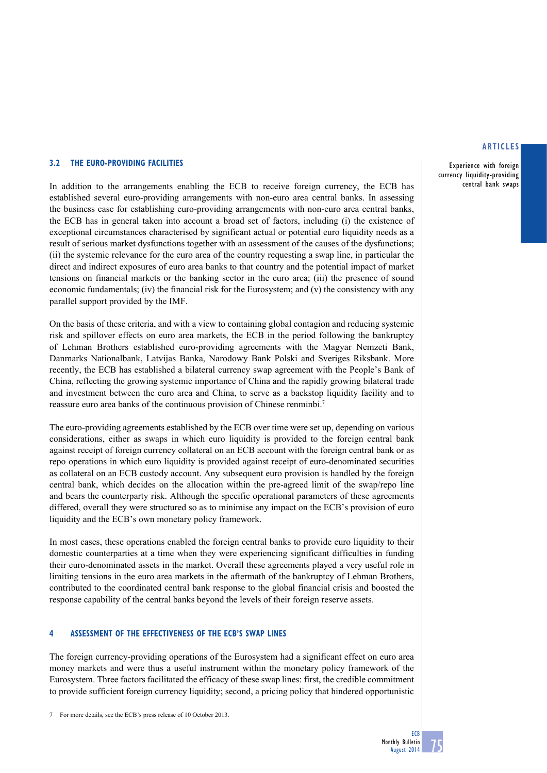#### **3.2 the euro-providing facilities**

In addition to the arrangements enabling the ECB to receive foreign currency, the ECB has established several euro-providing arrangements with non-euro area central banks. In assessing the business case for establishing euro-providing arrangements with non-euro area central banks, the ECB has in general taken into account a broad set of factors, including (i) the existence of exceptional circumstances characterised by significant actual or potential euro liquidity needs as a result of serious market dysfunctions together with an assessment of the causes of the dysfunctions; (ii) the systemic relevance for the euro area of the country requesting a swap line, in particular the direct and indirect exposures of euro area banks to that country and the potential impact of market tensions on financial markets or the banking sector in the euro area; (iii) the presence of sound economic fundamentals; (iv) the financial risk for the Eurosystem; and  $(v)$  the consistency with any parallel support provided by the IMF.

On the basis of these criteria, and with a view to containing global contagion and reducing systemic risk and spillover effects on euro area markets, the ECB in the period following the bankruptcy of Lehman Brothers established euro-providing agreements with the Magyar Nemzeti Bank, Danmarks Nationalbank, Latvijas Banka, Narodowy Bank Polski and Sveriges Riksbank. More recently, the ECB has established a bilateral currency swap agreement with the People's Bank of China, reflecting the growing systemic importance of China and the rapidly growing bilateral trade and investment between the euro area and China, to serve as a backstop liquidity facility and to reassure euro area banks of the continuous provision of Chinese renminbi.7

The euro-providing agreements established by the ECB over time were set up, depending on various considerations, either as swaps in which euro liquidity is provided to the foreign central bank against receipt of foreign currency collateral on an ECB account with the foreign central bank or as repo operations in which euro liquidity is provided against receipt of euro-denominated securities as collateral on an ECB custody account. Any subsequent euro provision is handled by the foreign central bank, which decides on the allocation within the pre-agreed limit of the swap/repo line and bears the counterparty risk. Although the specific operational parameters of these agreements differed, overall they were structured so as to minimise any impact on the ECB's provision of euro liquidity and the ECB's own monetary policy framework.

In most cases, these operations enabled the foreign central banks to provide euro liquidity to their domestic counterparties at a time when they were experiencing significant difficulties in funding their euro-denominated assets in the market. Overall these agreements played a very useful role in limiting tensions in the euro area markets in the aftermath of the bankruptcy of Lehman Brothers, contributed to the coordinated central bank response to the global financial crisis and boosted the response capability of the central banks beyond the levels of their foreign reserve assets.

#### **4 assessment of the effectiveness of the ecb's swap lines**

The foreign currency-providing operations of the Eurosystem had a significant effect on euro area money markets and were thus a useful instrument within the monetary policy framework of the Eurosystem. Three factors facilitated the efficacy of these swap lines: first, the credible commitment to provide sufficient foreign currency liquidity; second, a pricing policy that hindered opportunistic

#### **articles**

Experience with foreign currency liquidity-providing central bank swaps

<sup>7</sup> For more details, see the ECB's press release of 10 October 2013.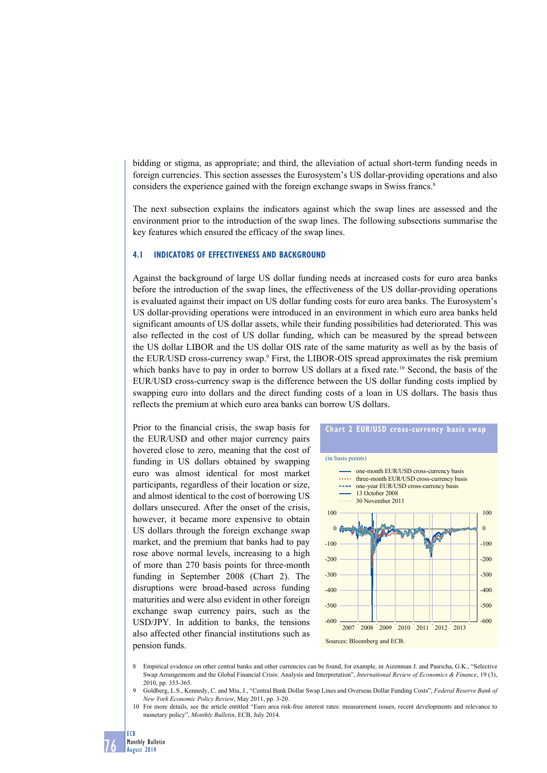bidding or stigma, as appropriate; and third, the alleviation of actual short-term funding needs in foreign currencies. This section assesses the Eurosystem's US dollar-providing operations and also considers the experience gained with the foreign exchange swaps in Swiss francs.<sup>8</sup>

The next subsection explains the indicators against which the swap lines are assessed and the environment prior to the introduction of the swap lines. The following subsections summarise the key features which ensured the efficacy of the swap lines.

#### **4.1 Indicators of Effectiveness and Background**

Against the background of large US dollar funding needs at increased costs for euro area banks before the introduction of the swap lines, the effectiveness of the US dollar-providing operations is evaluated against their impact on US dollar funding costs for euro area banks. The Eurosystem's US dollar-providing operations were introduced in an environment in which euro area banks held significant amounts of US dollar assets, while their funding possibilities had deteriorated. This was also reflected in the cost of US dollar funding, which can be measured by the spread between the US dollar LIBOR and the US dollar OIS rate of the same maturity as well as by the basis of the EUR/USD cross-currency swap.<sup>9</sup> First, the LIBOR-OIS spread approximates the risk premium which banks have to pay in order to borrow US dollars at a fixed rate.<sup>10</sup> Second, the basis of the EUR/USD cross-currency swap is the difference between the US dollar funding costs implied by swapping euro into dollars and the direct funding costs of a loan in US dollars. The basis thus reflects the premium at which euro area banks can borrow US dollars.

Prior to the financial crisis, the swap basis for the EUR/USD and other major currency pairs hovered close to zero, meaning that the cost of funding in US dollars obtained by swapping euro was almost identical for most market participants, regardless of their location or size, and almost identical to the cost of borrowing US dollars unsecured. After the onset of the crisis, however, it became more expensive to obtain US dollars through the foreign exchange swap market, and the premium that banks had to pay rose above normal levels, increasing to a high of more than 270 basis points for three-month funding in September 2008 (Chart 2). The disruptions were broad-based across funding maturities and were also evident in other foreign exchange swap currency pairs, such as the USD/JPY. In addition to banks, the tensions also affected other financial institutions such as pension funds.



- 8 Empirical evidence on other central banks and other currencies can be found, for example, in Aizenman J. and Pasricha, G.K., "Selective Swap Arrangements and the Global Financial Crisis: Analysis and Interpretation", *International Review of Economics & Finance*, 19 (3), 2010, pp. 353-365.
- 9 Goldberg, L.S., Kennedy, C. and Miu, J., "Central Bank Dollar Swap Lines and Overseas Dollar Funding Costs", *Federal Reserve Bank of New York Economic Policy Review*, May 2011, pp. 3-20.
- 10 For more details, see the article entitled "Euro area risk-free interest rates: measurement issues, recent developments and relevance to monetary policy", *Monthly Bulletin*, ECB, July 2014.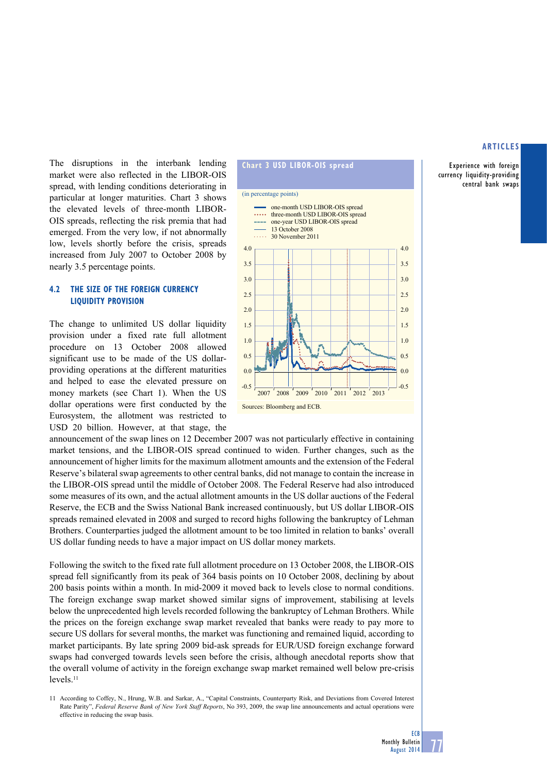Experience with foreign currency liquidity-providing central bank swaps

The disruptions in the interbank lending market were also reflected in the LIBOR-OIS spread, with lending conditions deteriorating in particular at longer maturities. Chart 3 shows the elevated levels of three-month LIBOR-OIS spreads, reflecting the risk premia that had emerged. From the very low, if not abnormally low, levels shortly before the crisis, spreads increased from July 2007 to October 2008 by nearly 3.5 percentage points.

# **4.2 the SIZE OF the FOREIGN CURRENCY LIQUIDITY PROVISION**

The change to unlimited US dollar liquidity provision under a fixed rate full allotment procedure on 13 October 2008 allowed significant use to be made of the US dollarproviding operations at the different maturities and helped to ease the elevated pressure on money markets (see Chart 1). When the US dollar operations were first conducted by the Eurosystem, the allotment was restricted to USD 20 billion. However, at that stage, the



announcement of the swap lines on 12 December 2007 was not particularly effective in containing market tensions, and the LIBOR-OIS spread continued to widen. Further changes, such as the announcement of higher limits for the maximum allotment amounts and the extension of the Federal Reserve's bilateral swap agreements to other central banks, did not manage to contain the increase in the LIBOR-OIS spread until the middle of October 2008. The Federal Reserve had also introduced some measures of its own, and the actual allotment amounts in the US dollar auctions of the Federal Reserve, the ECB and the Swiss National Bank increased continuously, but US dollar LIBOR-OIS spreads remained elevated in 2008 and surged to record highs following the bankruptcy of Lehman Brothers. Counterparties judged the allotment amount to be too limited in relation to banks' overall US dollar funding needs to have a major impact on US dollar money markets.

Following the switch to the fixed rate full allotment procedure on 13 October 2008, the LIBOR-OIS spread fell significantly from its peak of 364 basis points on 10 October 2008, declining by about 200 basis points within a month. In mid-2009 it moved back to levels close to normal conditions. The foreign exchange swap market showed similar signs of improvement, stabilising at levels below the unprecedented high levels recorded following the bankruptcy of Lehman Brothers. While the prices on the foreign exchange swap market revealed that banks were ready to pay more to secure US dollars for several months, the market was functioning and remained liquid, according to market participants. By late spring 2009 bid-ask spreads for EUR/USD foreign exchange forward swaps had converged towards levels seen before the crisis, although anecdotal reports show that the overall volume of activity in the foreign exchange swap market remained well below pre-crisis  $levels<sup>11</sup>$ 

11 According to Coffey, N., Hrung, W.B. and Sarkar, A., "Capital Constraints, Counterparty Risk, and Deviations from Covered Interest Rate Parity", *Federal Reserve Bank of New York Staff Reports*, No 393, 2009, the swap line announcements and actual operations were effective in reducing the swap basis.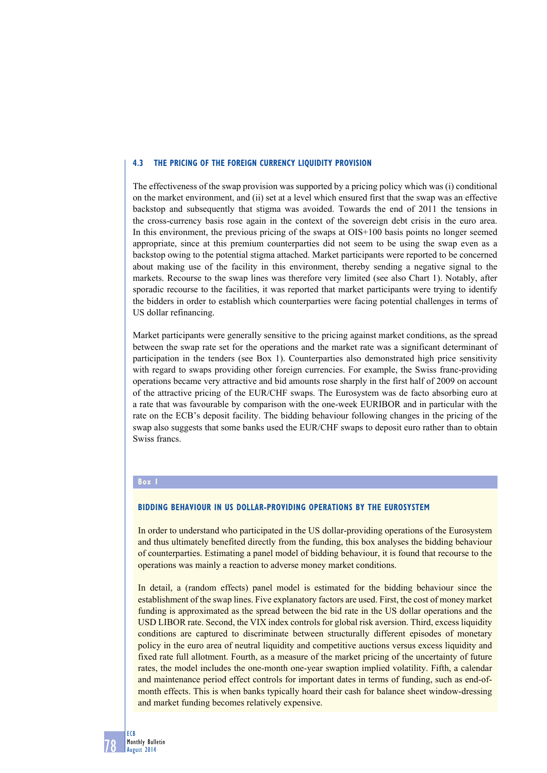#### **4.3 the PRICING OF the FOREIGN CURRENCY LIQUIDITY PROVISION**

The effectiveness of the swap provision was supported by a pricing policy which was (i) conditional on the market environment, and (ii) set at a level which ensured first that the swap was an effective backstop and subsequently that stigma was avoided. Towards the end of 2011 the tensions in the cross-currency basis rose again in the context of the sovereign debt crisis in the euro area. In this environment, the previous pricing of the swaps at OIS+100 basis points no longer seemed appropriate, since at this premium counterparties did not seem to be using the swap even as a backstop owing to the potential stigma attached. Market participants were reported to be concerned about making use of the facility in this environment, thereby sending a negative signal to the markets. Recourse to the swap lines was therefore very limited (see also Chart 1). Notably, after sporadic recourse to the facilities, it was reported that market participants were trying to identify the bidders in order to establish which counterparties were facing potential challenges in terms of US dollar refinancing.

Market participants were generally sensitive to the pricing against market conditions, as the spread between the swap rate set for the operations and the market rate was a significant determinant of participation in the tenders (see Box 1). Counterparties also demonstrated high price sensitivity with regard to swaps providing other foreign currencies. For example, the Swiss franc-providing operations became very attractive and bid amounts rose sharply in the first half of 2009 on account of the attractive pricing of the EUR/CHF swaps. The Eurosystem was de facto absorbing euro at a rate that was favourable by comparison with the one-week EURIBOR and in particular with the rate on the ECB's deposit facility. The bidding behaviour following changes in the pricing of the swap also suggests that some banks used the EUR/CHF swaps to deposit euro rather than to obtain Swiss francs.

## **Box 1**

## **BIDDING BEHAVIOUR IN US DOLLAR-PROVIDING OPERATIONS BY THE EUROSYSTEM**

In order to understand who participated in the US dollar-providing operations of the Eurosystem and thus ultimately benefited directly from the funding, this box analyses the bidding behaviour of counterparties. Estimating a panel model of bidding behaviour, it is found that recourse to the operations was mainly a reaction to adverse money market conditions.

In detail, a (random effects) panel model is estimated for the bidding behaviour since the establishment of the swap lines. Five explanatory factors are used. First, the cost of money market funding is approximated as the spread between the bid rate in the US dollar operations and the USD LIBOR rate. Second, the VIX index controls for global risk aversion. Third, excess liquidity conditions are captured to discriminate between structurally different episodes of monetary policy in the euro area of neutral liquidity and competitive auctions versus excess liquidity and fixed rate full allotment. Fourth, as a measure of the market pricing of the uncertainty of future rates, the model includes the one-month one-year swaption implied volatility. Fifth, a calendar and maintenance period effect controls for important dates in terms of funding, such as end-ofmonth effects. This is when banks typically hoard their cash for balance sheet window-dressing and market funding becomes relatively expensive.

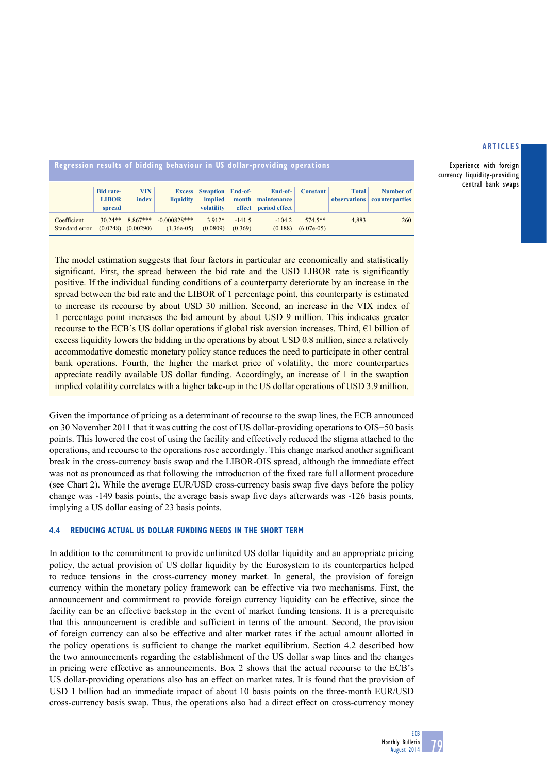Experience with foreign currency liquidity-providing central bank swaps

| Regression results of bidding behaviour in US dollar-providing operations |                                            |                                    |                                |                                                         |                     |                                                  |                            |              |                                          |  |  |
|---------------------------------------------------------------------------|--------------------------------------------|------------------------------------|--------------------------------|---------------------------------------------------------|---------------------|--------------------------------------------------|----------------------------|--------------|------------------------------------------|--|--|
|                                                                           | <b>Bid rate-</b><br><b>LIBOR</b><br>spread | <b>VIX</b><br><i>index</i>         | $li$ quidity                   | <b>Excess</b> Swaption End-of-<br>implied<br>volatility | month               | End-of-<br>maintenance<br>effect   period effect | <b>Constant</b>            | <b>Total</b> | Number of<br>observations counterparties |  |  |
| Coefficient<br>Standard error                                             | $30.24**$                                  | 8.867***<br>$(0.0248)$ $(0.00290)$ | $-0.000828***$<br>$(1.36e-05)$ | $3.912*$<br>(0.0809)                                    | $-141.5$<br>(0.369) | $-104.2$<br>(0.188)                              | $574.5**$<br>$(6.07e-0.5)$ | 4.883        | 260                                      |  |  |

The model estimation suggests that four factors in particular are economically and statistically significant. First, the spread between the bid rate and the USD LIBOR rate is significantly positive. If the individual funding conditions of a counterparty deteriorate by an increase in the spread between the bid rate and the LIBOR of 1 percentage point, this counterparty is estimated to increase its recourse by about USD 30 million. Second, an increase in the VIX index of 1 percentage point increases the bid amount by about USD 9 million. This indicates greater recourse to the ECB's US dollar operations if global risk aversion increases. Third, €1 billion of excess liquidity lowers the bidding in the operations by about USD 0.8 million, since a relatively accommodative domestic monetary policy stance reduces the need to participate in other central bank operations. Fourth, the higher the market price of volatility, the more counterparties appreciate readily available US dollar funding. Accordingly, an increase of 1 in the swaption implied volatility correlates with a higher take-up in the US dollar operations of USD 3.9 million.

Given the importance of pricing as a determinant of recourse to the swap lines, the ECB announced on 30 November 2011 that it was cutting the cost of US dollar-providing operations to OIS+50 basis points. This lowered the cost of using the facility and effectively reduced the stigma attached to the operations, and recourse to the operations rose accordingly. This change marked another significant break in the cross-currency basis swap and the LIBOR-OIS spread, although the immediate effect was not as pronounced as that following the introduction of the fixed rate full allotment procedure (see Chart 2). While the average EUR/USD cross-currency basis swap five days before the policy change was -149 basis points, the average basis swap five days afterwards was -126 basis points, implying a US dollar easing of 23 basis points.

## **4.4 Reducing Actual US dollar funding needs in the short term**

In addition to the commitment to provide unlimited US dollar liquidity and an appropriate pricing policy, the actual provision of US dollar liquidity by the Eurosystem to its counterparties helped to reduce tensions in the cross-currency money market. In general, the provision of foreign currency within the monetary policy framework can be effective via two mechanisms. First, the announcement and commitment to provide foreign currency liquidity can be effective, since the facility can be an effective backstop in the event of market funding tensions. It is a prerequisite that this announcement is credible and sufficient in terms of the amount. Second, the provision of foreign currency can also be effective and alter market rates if the actual amount allotted in the policy operations is sufficient to change the market equilibrium. Section 4.2 described how the two announcements regarding the establishment of the US dollar swap lines and the changes in pricing were effective as announcements. Box 2 shows that the actual recourse to the ECB's US dollar-providing operations also has an effect on market rates. It is found that the provision of USD 1 billion had an immediate impact of about 10 basis points on the three-month EUR/USD cross-currency basis swap. Thus, the operations also had a direct effect on cross-currency money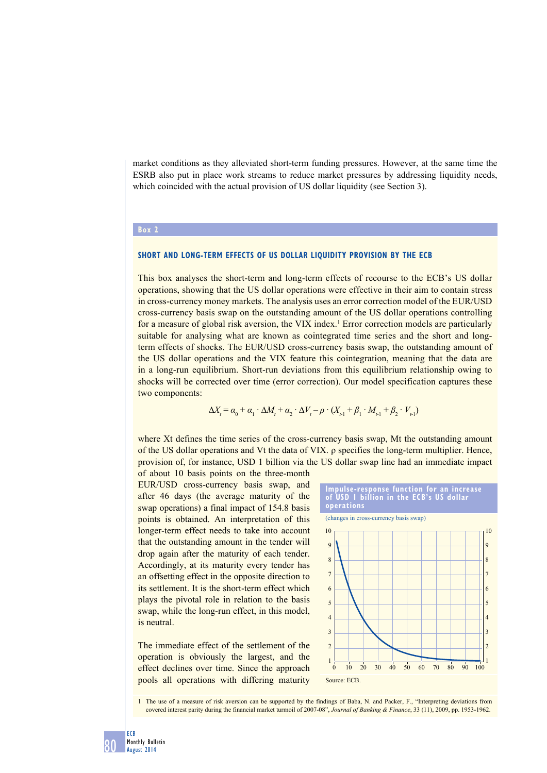market conditions as they alleviated short-term funding pressures. However, at the same time the ESRB also put in place work streams to reduce market pressures by addressing liquidity needs, which coincided with the actual provision of US dollar liquidity (see Section 3).

#### **Box 2**

## **Short and long-term effects of US dollar liquidity provision by the ECB**

This box analyses the short-term and long-term effects of recourse to the ECB's US dollar operations, showing that the US dollar operations were effective in their aim to contain stress in cross-currency money markets. The analysis uses an error correction model of the EUR/USD cross-currency basis swap on the outstanding amount of the US dollar operations controlling for a measure of global risk aversion, the VIX index.<sup>1</sup> Error correction models are particularly suitable for analysing what are known as cointegrated time series and the short and longterm effects of shocks. The EUR/USD cross-currency basis swap, the outstanding amount of the US dollar operations and the VIX feature this cointegration, meaning that the data are in a long-run equilibrium. Short-run deviations from this equilibrium relationship owing to shocks will be corrected over time (error correction). Our model specification captures these two components:

$$
\Delta X_t = \alpha_0 + \alpha_1 \cdot \Delta M_t + \alpha_2 \cdot \Delta V_t - \rho \cdot (X_{t-1} + \beta_1 \cdot M_{t-1} + \beta_2 \cdot V_{t-1})
$$

where Xt defines the time series of the cross-currency basis swap, Mt the outstanding amount of the US dollar operations and Vt the data of VIX. ρ specifies the long-term multiplier. Hence, provision of, for instance, USD 1 billion via the US dollar swap line had an immediate impact

of about 10 basis points on the three-month EUR/USD cross-currency basis swap, and after 46 days (the average maturity of the swap operations) a final impact of 154.8 basis points is obtained. An interpretation of this longer-term effect needs to take into account that the outstanding amount in the tender will drop again after the maturity of each tender. Accordingly, at its maturity every tender has an offsetting effect in the opposite direction to its settlement. It is the short-term effect which plays the pivotal role in relation to the basis swap, while the long-run effect, in this model, is neutral.

The immediate effect of the settlement of the operation is obviously the largest, and the effect declines over time. Since the approach pools all operations with differing maturity



1 The use of a measure of risk aversion can be supported by the findings of Baba, N. and Packer, F., "Interpreting deviations from covered interest parity during the financial market turmoil of 2007-08", *Journal of Banking & Finance*, 33 (11), 2009, pp. 1953-1962.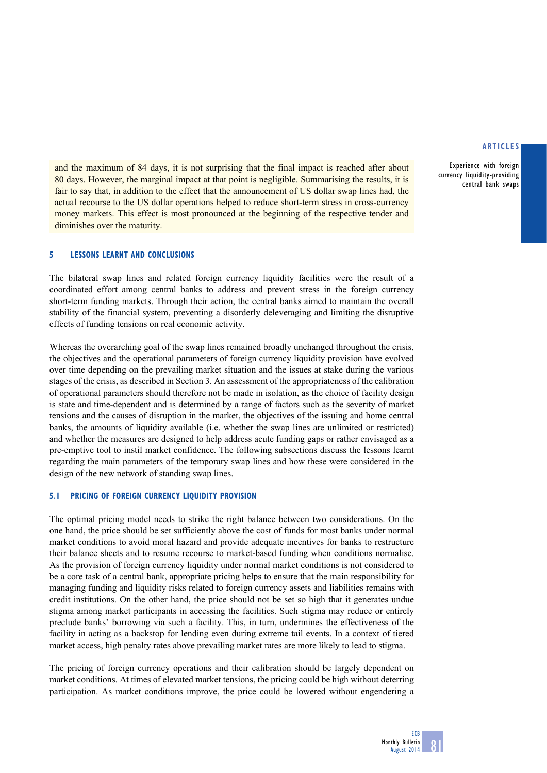Experience with foreign currency liquidity-providing central bank swaps

and the maximum of 84 days, it is not surprising that the final impact is reached after about 80 days. However, the marginal impact at that point is negligible. Summarising the results, it is fair to say that, in addition to the effect that the announcement of US dollar swap lines had, the actual recourse to the US dollar operations helped to reduce short-term stress in cross-currency money markets. This effect is most pronounced at the beginning of the respective tender and diminishes over the maturity.

## **5 lessons learnt and conclusions**

The bilateral swap lines and related foreign currency liquidity facilities were the result of a coordinated effort among central banks to address and prevent stress in the foreign currency short-term funding markets. Through their action, the central banks aimed to maintain the overall stability of the financial system, preventing a disorderly deleveraging and limiting the disruptive effects of funding tensions on real economic activity.

Whereas the overarching goal of the swap lines remained broadly unchanged throughout the crisis, the objectives and the operational parameters of foreign currency liquidity provision have evolved over time depending on the prevailing market situation and the issues at stake during the various stages of the crisis, as described in Section 3. An assessment of the appropriateness of the calibration of operational parameters should therefore not be made in isolation, as the choice of facility design is state and time-dependent and is determined by a range of factors such as the severity of market tensions and the causes of disruption in the market, the objectives of the issuing and home central banks, the amounts of liquidity available (i.e. whether the swap lines are unlimited or restricted) and whether the measures are designed to help address acute funding gaps or rather envisaged as a pre-emptive tool to instil market confidence. The following subsections discuss the lessons learnt regarding the main parameters of the temporary swap lines and how these were considered in the design of the new network of standing swap lines.

#### **5.1 Pricing of foreign currency liquidity provision**

The optimal pricing model needs to strike the right balance between two considerations. On the one hand, the price should be set sufficiently above the cost of funds for most banks under normal market conditions to avoid moral hazard and provide adequate incentives for banks to restructure their balance sheets and to resume recourse to market-based funding when conditions normalise. As the provision of foreign currency liquidity under normal market conditions is not considered to be a core task of a central bank, appropriate pricing helps to ensure that the main responsibility for managing funding and liquidity risks related to foreign currency assets and liabilities remains with credit institutions. On the other hand, the price should not be set so high that it generates undue stigma among market participants in accessing the facilities. Such stigma may reduce or entirely preclude banks' borrowing via such a facility. This, in turn, undermines the effectiveness of the facility in acting as a backstop for lending even during extreme tail events. In a context of tiered market access, high penalty rates above prevailing market rates are more likely to lead to stigma.

The pricing of foreign currency operations and their calibration should be largely dependent on market conditions. At times of elevated market tensions, the pricing could be high without deterring participation. As market conditions improve, the price could be lowered without engendering a